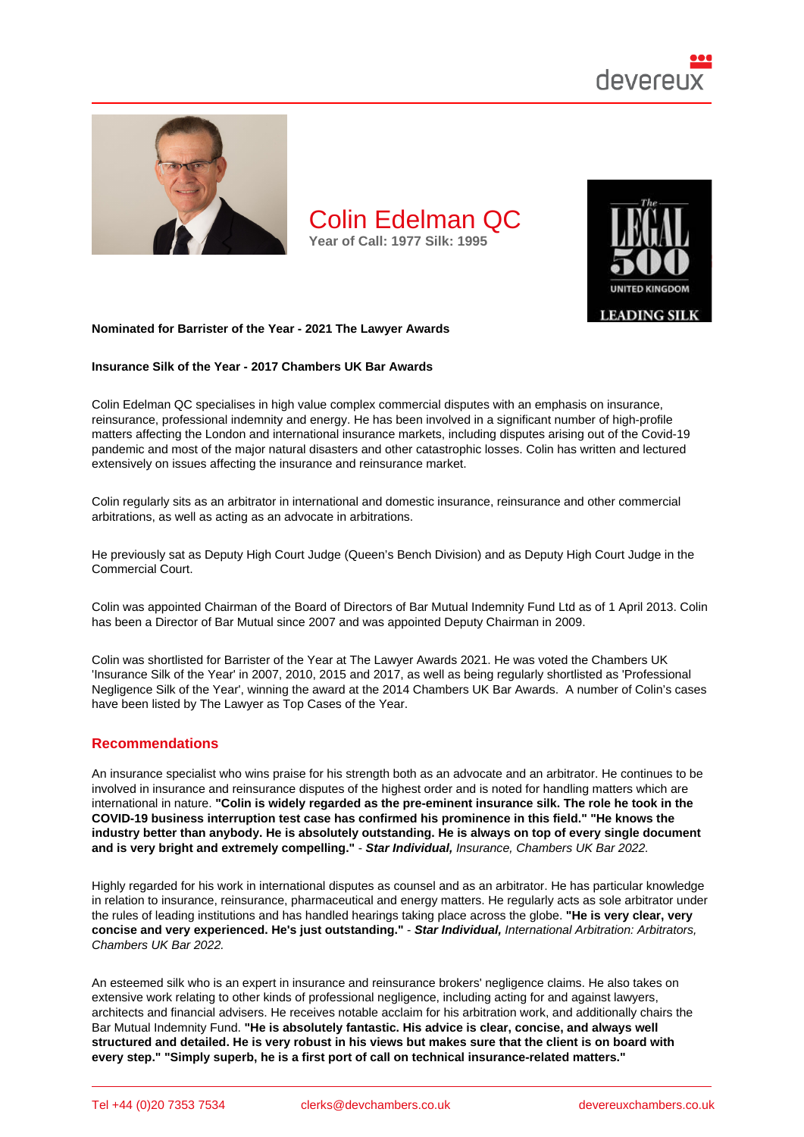

Nominated for Barrister of the Year - 2021 The Lawyer Awards

Insurance Silk of the Year - 2017 Chambers UK Bar Awards

Colin Edelman QC specialises in high value complex commercial disputes with an emphasis on insurance, reinsurance, professional indemnity and energy. He has been involved in a significant number of high-profile matters affecting the London and international insurance markets, including disputes arising out of the Covid-19 pandemic and most of the major natural disasters and other catastrophic losses. Colin has written and lectured extensively on issues affecting the insurance and reinsurance market.

Colin regularly sits as an arbitrator in international and domestic insurance, reinsurance and other commercial arbitrations, as well as acting as an advocate in arbitrations.

He previously sat as Deputy High Court Judge (Queen's Bench Division) and as Deputy High Court Judge in the Commercial Court.

Colin was appointed Chairman of the Board of Directors of Bar Mutual Indemnity Fund Ltd as of 1 April 2013. Colin has been a Director of Bar Mutual since 2007 and was appointed Deputy Chairman in 2009.

Colin was shortlisted for Barrister of the Year at The Lawyer Awards 2021. He was voted the Chambers UK 'Insurance Silk of the Year' in 2007, 2010, 2015 and 2017, as well as being regularly shortlisted as 'Professional Negligence Silk of the Year', winning the award at the 2014 Chambers UK Bar Awards. A number of Colin's cases have been listed by The Lawyer as Top Cases of the Year.

## Recommendations

An insurance specialist who wins praise for his strength both as an advocate and an arbitrator. He continues to be involved in insurance and reinsurance disputes of the highest order and is noted for handling matters which are international in nature. "Colin is widely regarded as the pre-eminent insurance silk. The role he took in the COVID-19 business interruption test case has confirmed his prominence in this field." "He knows the industry better than anybody. He is absolutely outstanding. He is always on top of every single document and is very bright and extremely compelling." - Star Individual, Insurance, Chambers UK Bar 2022.

Highly regarded for his work in international disputes as counsel and as an arbitrator. He has particular knowledge in relation to insurance, reinsurance, pharmaceutical and energy matters. He regularly acts as sole arbitrator under the rules of leading institutions and has handled hearings taking place across the globe. "He is very clear, very concise and very experienced. He's just outstanding." - Star Individual, International Arbitration: Arbitrators, Chambers UK Bar 2022.

An esteemed silk who is an expert in insurance and reinsurance brokers' negligence claims. He also takes on extensive work relating to other kinds of professional negligence, including acting for and against lawyers, architects and financial advisers. He receives notable acclaim for his arbitration work, and additionally chairs the Bar Mutual Indemnity Fund. "He is absolutely fantastic. His advice is clear, concise, and always well structured and detailed. He is very robust in his views but makes sure that the client is on board with every step." "Simply superb, he is a first port of call on technical insurance-related matters."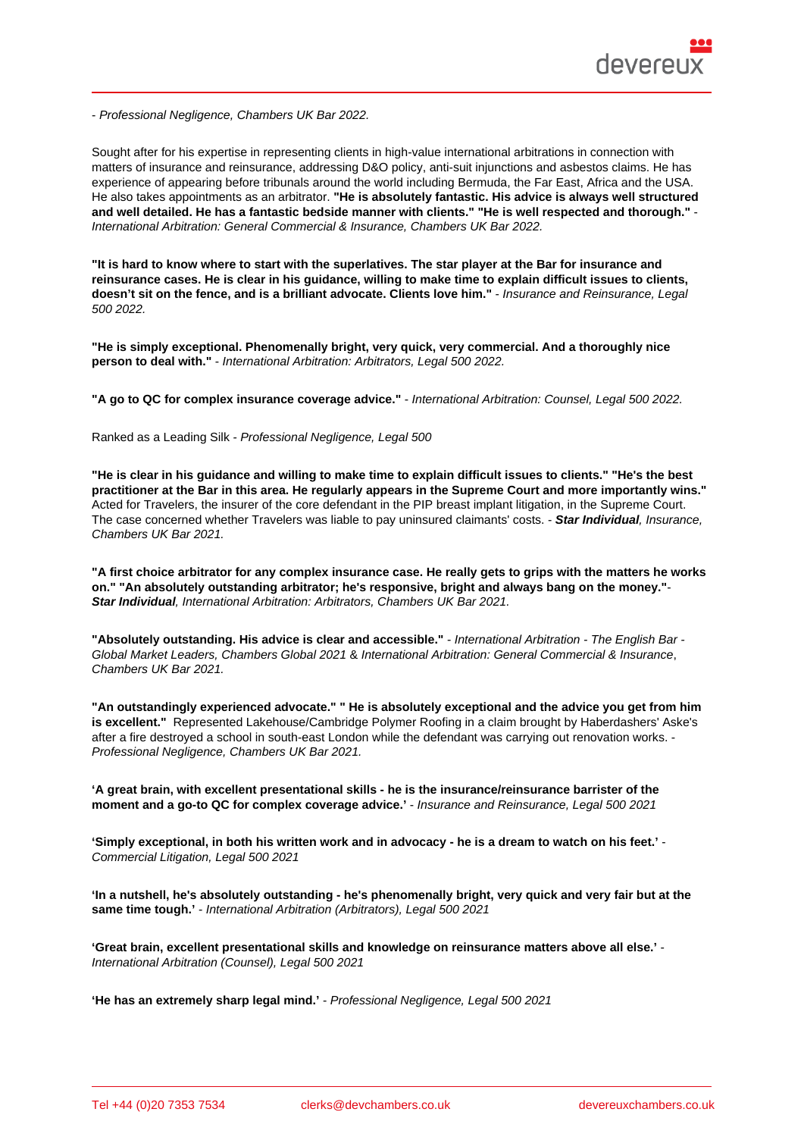- Professional Negligence, Chambers UK Bar 2022.

Sought after for his expertise in representing clients in high-value international arbitrations in connection with matters of insurance and reinsurance, addressing D&O policy, anti-suit injunctions and asbestos claims. He has experience of appearing before tribunals around the world including Bermuda, the Far East, Africa and the USA. He also takes appointments as an arbitrator. "He is absolutely fantastic. His advice is always well structured and well detailed. He has a fantastic bedside manner with clients." "He is well respected and thorough." International Arbitration: General Commercial & Insurance, Chambers UK Bar 2022.

"It is hard to know where to start with the superlatives. The star player at the Bar for insurance and reinsurance cases. He is clear in his guidance, willing to make time to explain difficult issues to clients, doesn't sit on the fence, and is a brilliant advocate. Clients love him." - Insurance and Reinsurance, Legal 500 2022.

"He is simply exceptional. Phenomenally bright, very quick, very commercial. And a thoroughly nice person to deal with." - International Arbitration: Arbitrators, Legal 500 2022.

"A go to QC for complex insurance coverage advice." - International Arbitration: Counsel, Legal 500 2022.

Ranked as a Leading Silk - Professional Negligence, Legal 500

"He is clear in his guidance and willing to make time to explain difficult issues to clients." "He's the best practitioner at the Bar in this area. He regularly appears in the Supreme Court and more importantly wins." Acted for Travelers, the insurer of the core defendant in the PIP breast implant litigation, in the Supreme Court. The case concerned whether Travelers was liable to pay uninsured claimants' costs. - Star Individual , Insurance, Chambers UK Bar 2021.

"A first choice arbitrator for any complex insurance case. He really gets to grips with the matters he works on." "An absolutely outstanding arbitrator; he's responsive, bright and always bang on the money." Star Individual , International Arbitration: Arbitrators, Chambers UK Bar 2021.

"Absolutely outstanding. His advice is clear and accessible." - International Arbitration - The English Bar - Global Market Leaders, Chambers Global 2021 & International Arbitration: General Commercial & Insurance, Chambers UK Bar 2021.

"An outstandingly experienced advocate." " He is absolutely exceptional and the advice you get from him is excellent." Represented Lakehouse/Cambridge Polymer Roofing in a claim brought by Haberdashers' Aske's after a fire destroyed a school in south-east London while the defendant was carrying out renovation works. - Professional Negligence, Chambers UK Bar 2021.

'A great brain, with excellent presentational skills - he is the insurance/reinsurance barrister of the moment and a go-to QC for complex coverage advice.' - Insurance and Reinsurance, Legal 500 2021

'Simply exceptional, in both his written work and in advocacy - he is a dream to watch on his feet.' Commercial Litigation, Legal 500 2021

'In a nutshell, he's absolutely outstanding - he's phenomenally bright, very quick and very fair but at the same time tough.' - International Arbitration (Arbitrators), Legal 500 2021

'Great brain, excellent presentational skills and knowledge on reinsurance matters above all else.' - International Arbitration (Counsel), Legal 500 2021

'He has an extremely sharp legal mind.' - Professional Negligence, Legal 500 2021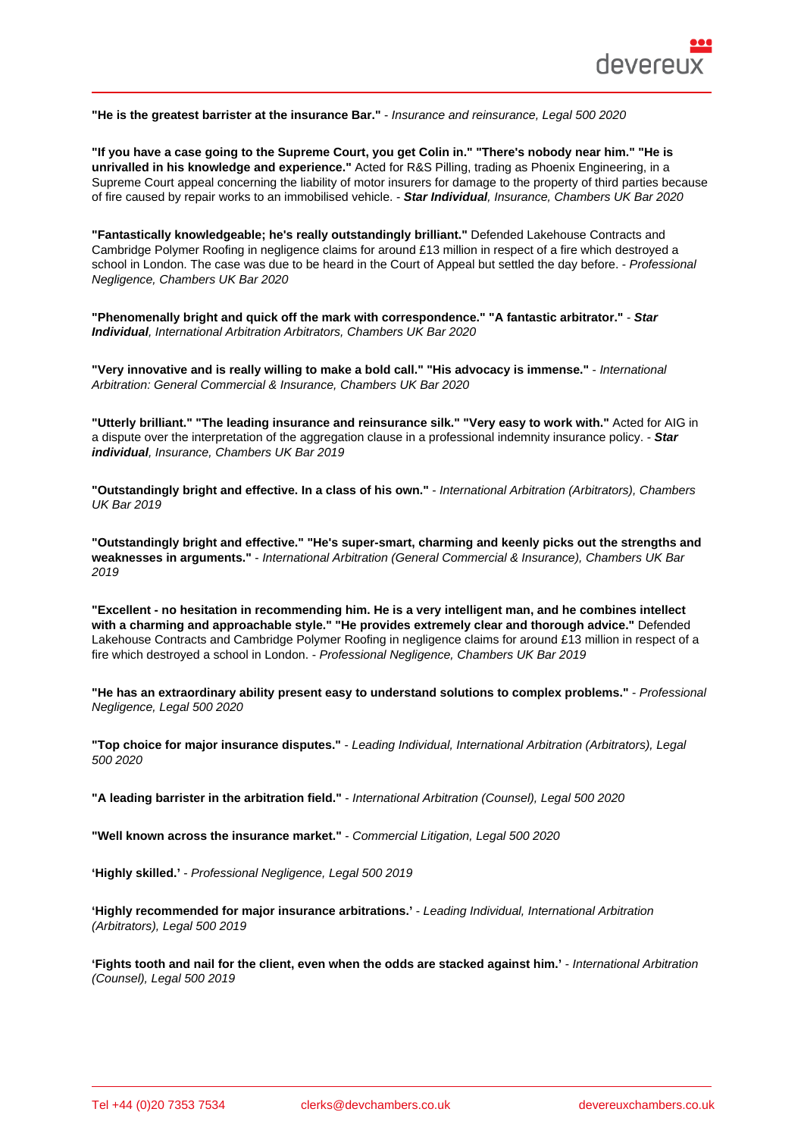"He is the greatest barrister at the insurance Bar." - Insurance and reinsurance, Legal 500 2020

"If you have a case going to the Supreme Court, you get Colin in." "There's nobody near him." "He is unrivalled in his knowledge and experience." Acted for R&S Pilling, trading as Phoenix Engineering, in a Supreme Court appeal concerning the liability of motor insurers for damage to the property of third parties because of fire caused by repair works to an immobilised vehicle. - Star Individual , Insurance, Chambers UK Bar 2020

"Fantastically knowledgeable; he's really outstandingly brilliant." Defended Lakehouse Contracts and Cambridge Polymer Roofing in negligence claims for around £13 million in respect of a fire which destroyed a school in London. The case was due to be heard in the Court of Appeal but settled the day before. - Professional Negligence, Chambers UK Bar 2020

"Phenomenally bright and quick off the mark with correspondence." "A fantastic arbitrator." - Star Individual , International Arbitration Arbitrators, Chambers UK Bar 2020

"Very innovative and is really willing to make a bold call." "His advocacy is immense." - International Arbitration: General Commercial & Insurance, Chambers UK Bar 2020

"Utterly brilliant." "The leading insurance and reinsurance silk." "Very easy to work with." Acted for AIG in a dispute over the interpretation of the aggregation clause in a professional indemnity insurance policy. - Star individual , Insurance, Chambers UK Bar 2019

"Outstandingly bright and effective. In a class of his own." - International Arbitration (Arbitrators), Chambers UK Bar 2019

"Outstandingly bright and effective." "He's super-smart, charming and keenly picks out the strengths and weaknesses in arguments." - International Arbitration (General Commercial & Insurance), Chambers UK Bar 2019

"Excellent - no hesitation in recommending him. He is a very intelligent man, and he combines intellect with a charming and approachable style." "He provides extremely clear and thorough advice." Defended Lakehouse Contracts and Cambridge Polymer Roofing in negligence claims for around £13 million in respect of a fire which destroyed a school in London. - Professional Negligence, Chambers UK Bar 2019

"He has an extraordinary ability present easy to understand solutions to complex problems." - Professional Negligence, Legal 500 2020

| "Top choice for major insurance disputes." | - Leading Individual, International Arbitration (Arbitrators), Legal |
|--------------------------------------------|----------------------------------------------------------------------|
| 500 2020                                   |                                                                      |

"A leading barrister in the arbitration field." - International Arbitration (Counsel), Legal 500 2020

"Well known across the insurance market." - Commercial Litigation, Legal 500 2020

'Highly skilled.' - Professional Negligence, Legal 500 2019

'Highly recommended for major insurance arbitrations.' - Leading Individual, International Arbitration (Arbitrators), Legal 500 2019

'Fights tooth and nail for the client, even when the odds are stacked against him.' - International Arbitration (Counsel), Legal 500 2019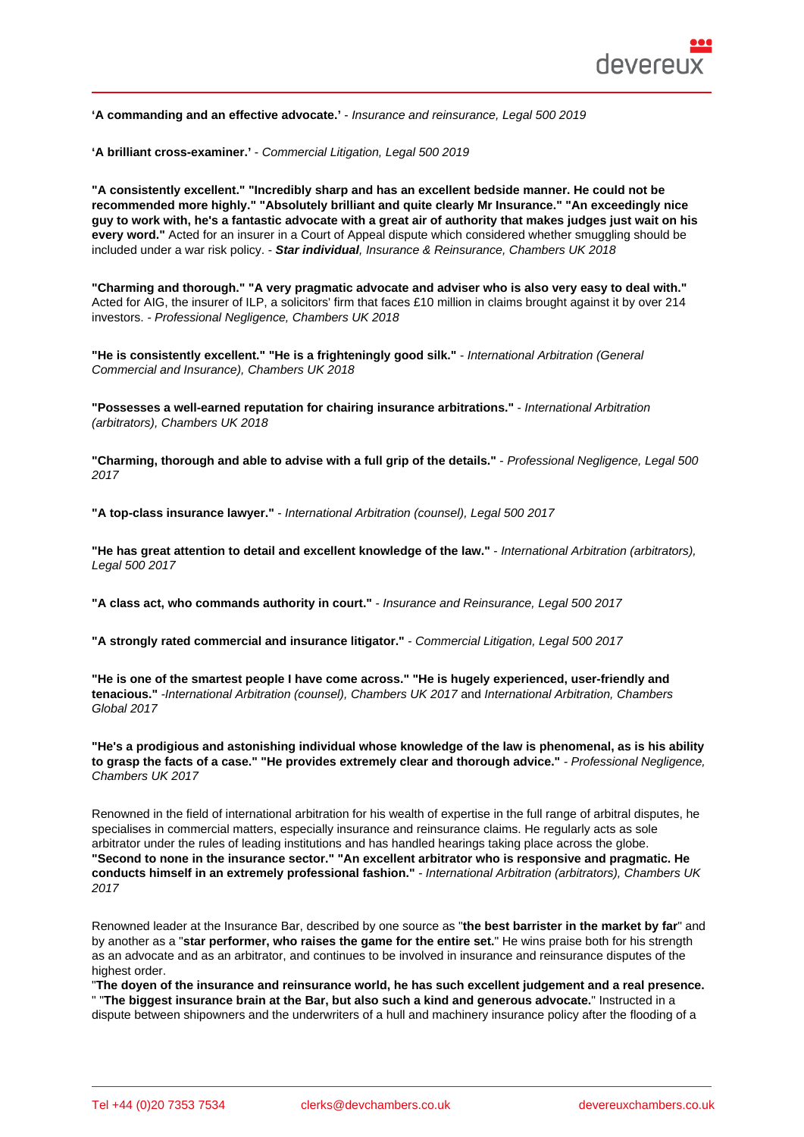| 'A commanding and an effective advocate.'<br>- Insurance and reinsurance, Legal 500 2019                                                                                                                                                                                                                                                                                                                                                                                                                                                     |
|----------------------------------------------------------------------------------------------------------------------------------------------------------------------------------------------------------------------------------------------------------------------------------------------------------------------------------------------------------------------------------------------------------------------------------------------------------------------------------------------------------------------------------------------|
| 'A brilliant cross-examiner.'<br>- Commercial Litigation, Legal 500 2019                                                                                                                                                                                                                                                                                                                                                                                                                                                                     |
| "A consistently excellent." "Incredibly sharp and has an excellent bedside manner. He could not be<br>recommended more highly." "Absolutely brilliant and quite clearly Mr Insurance." "An exceedingly nice<br>guy to work with, he's a fantastic advocate with a great air of authority that makes judges just wait on his<br>every word." Acted for an insurer in a Court of Appeal dispute which considered whether smuggling should be<br>included under a war risk policy. - Star individual, Insurance & Reinsurance, Chambers UK 2018 |
| "Charming and thorough." "A very pragmatic advocate and adviser who is also very easy to deal with."<br>Acted for AIG, the insurer of ILP, a solicitors' firm that faces £10 million in claims brought against it by over 214<br>investors. - Professional Negligence, Chambers UK 2018                                                                                                                                                                                                                                                      |
| "He is consistently excellent." "He is a frighteningly good silk."<br>- International Arbitration (General<br>Commercial and Insurance), Chambers UK 2018                                                                                                                                                                                                                                                                                                                                                                                    |
| "Possesses a well-earned reputation for chairing insurance arbitrations."<br>- International Arbitration<br>(arbitrators), Chambers UK 2018                                                                                                                                                                                                                                                                                                                                                                                                  |
| "Charming, thorough and able to advise with a full grip of the details."<br>- Professional Negligence, Legal 500<br>2017                                                                                                                                                                                                                                                                                                                                                                                                                     |
| "A top-class insurance lawyer." - International Arbitration (counsel), Legal 500 2017                                                                                                                                                                                                                                                                                                                                                                                                                                                        |
| "He has great attention to detail and excellent knowledge of the law."<br>- International Arbitration (arbitrators),<br>Legal 500 2017                                                                                                                                                                                                                                                                                                                                                                                                       |
| "A class act, who commands authority in court."<br>- Insurance and Reinsurance, Legal 500 2017                                                                                                                                                                                                                                                                                                                                                                                                                                               |
| "A strongly rated commercial and insurance litigator."<br>- Commercial Litigation, Legal 500 2017                                                                                                                                                                                                                                                                                                                                                                                                                                            |
| "He is one of the smartest people I have come across." "He is hugely experienced, user-friendly and<br>tenacious." -International Arbitration (counsel), Chambers UK 2017 and International Arbitration, Chambers                                                                                                                                                                                                                                                                                                                            |

"He's a prodigious and astonishing individual whose knowledge of the law is phenomenal, as is his ability<br>to grasp the facts of a case." "He provides extremely clear and thorough advice." - Professional Negligence, to grasp the facts of a case." "He provides extremely clear and thorough advice." Chambers UK 2017

Renowned in the field of international arbitration for his wealth of expertise in the full range of arbitral disputes, he specialises in commercial matters, especially insurance and reinsurance claims. He regularly acts as sole arbitrator under the rules of leading institutions and has handled hearings taking place across the globe. "Second to none in the insurance sector." "An excellent arbitrator who is responsive and pragmatic. He conducts himself in an extremely professional fashion." - International Arbitration (arbitrators), Chambers UK 2017

Renowned leader at the Insurance Bar, described by one source as "the best barrister in the market by far " and by another as a "star performer, who raises the game for the entire set. " He wins praise both for his strength as an advocate and as an arbitrator, and continues to be involved in insurance and reinsurance disputes of the highest order.

"The doyen of the insurance and reinsurance world, he has such excellent judgement and a real presence. " "The biggest insurance brain at the Bar, but also such a kind and generous advocate. " Instructed in a dispute between shipowners and the underwriters of a hull and machinery insurance policy after the flooding of a

Global 2017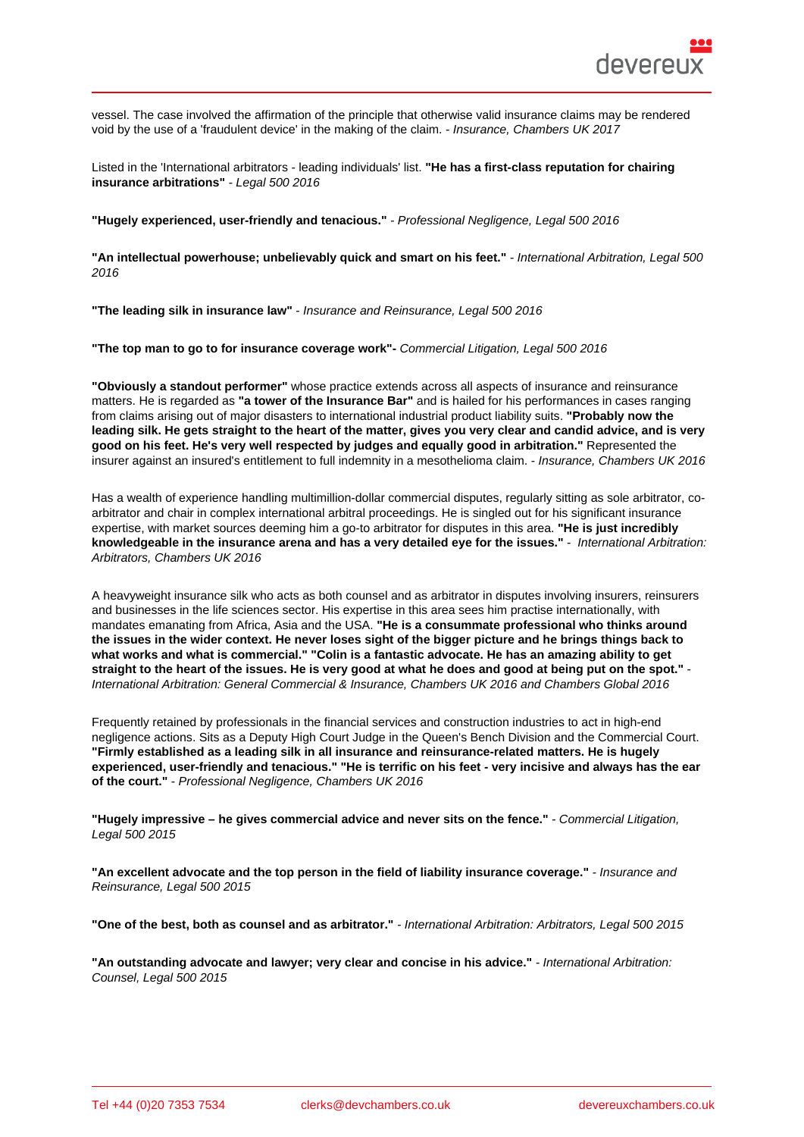vessel. The case involved the affirmation of the principle that otherwise valid insurance claims may be rendered void by the use of a 'fraudulent device' in the making of the claim. - Insurance, Chambers UK 2017

Listed in the 'International arbitrators - leading individuals' list. "He has a first-class reputation for chairing insurance arbitrations" - Legal 500 2016

"Hugely experienced, user-friendly and tenacious." - Professional Negligence, Legal 500 2016

"An intellectual powerhouse; unbelievably quick and smart on his feet." - International Arbitration, Legal 500 2016

"The leading silk in insurance law" - Insurance and Reinsurance, Legal 500 2016

"The top man to go to for insurance coverage work"- Commercial Litigation, Legal 500 2016

"Obviously a standout performer" whose practice extends across all aspects of insurance and reinsurance matters. He is regarded as "a tower of the Insurance Bar" and is hailed for his performances in cases ranging from claims arising out of major disasters to international industrial product liability suits. "Probably now the leading silk. He gets straight to the heart of the matter, gives you very clear and candid advice, and is very good on his feet. He's very well respected by judges and equally good in arbitration." Represented the insurer against an insured's entitlement to full indemnity in a mesothelioma claim. - Insurance, Chambers UK 2016

Has a wealth of experience handling multimillion-dollar commercial disputes, regularly sitting as sole arbitrator, coarbitrator and chair in complex international arbitral proceedings. He is singled out for his significant insurance expertise, with market sources deeming him a go-to arbitrator for disputes in this area. "He is just incredibly knowledgeable in the insurance arena and has a very detailed eye for the issues." - International Arbitration: Arbitrators, Chambers UK 2016

A heavyweight insurance silk who acts as both counsel and as arbitrator in disputes involving insurers, reinsurers and businesses in the life sciences sector. His expertise in this area sees him practise internationally, with mandates emanating from Africa, Asia and the USA. "He is a consummate professional who thinks around the issues in the wider context. He never loses sight of the bigger picture and he brings things back to what works and what is commercial." "Colin is a fantastic advocate. He has an amazing ability to get straight to the heart of the issues. He is very good at what he does and good at being put on the spot." International Arbitration: General Commercial & Insurance, Chambers UK 2016 and Chambers Global 2016

Frequently retained by professionals in the financial services and construction industries to act in high-end negligence actions. Sits as a Deputy High Court Judge in the Queen's Bench Division and the Commercial Court. "Firmly established as a leading silk in all insurance and reinsurance-related matters. He is hugely experienced, user-friendly and tenacious." "He is terrific on his feet - very incisive and always has the ear of the court." - Professional Negligence, Chambers UK 2016

"Hugely impressive – he gives commercial advice and never sits on the fence." - Commercial Litigation, Legal 500 2015

"An excellent advocate and the top person in the field of liability insurance coverage." - Insurance and Reinsurance, Legal 500 2015

"One of the best, both as counsel and as arbitrator." - International Arbitration: Arbitrators, Legal 500 2015

"An outstanding advocate and lawyer; very clear and concise in his advice." - International Arbitration: Counsel, Legal 500 2015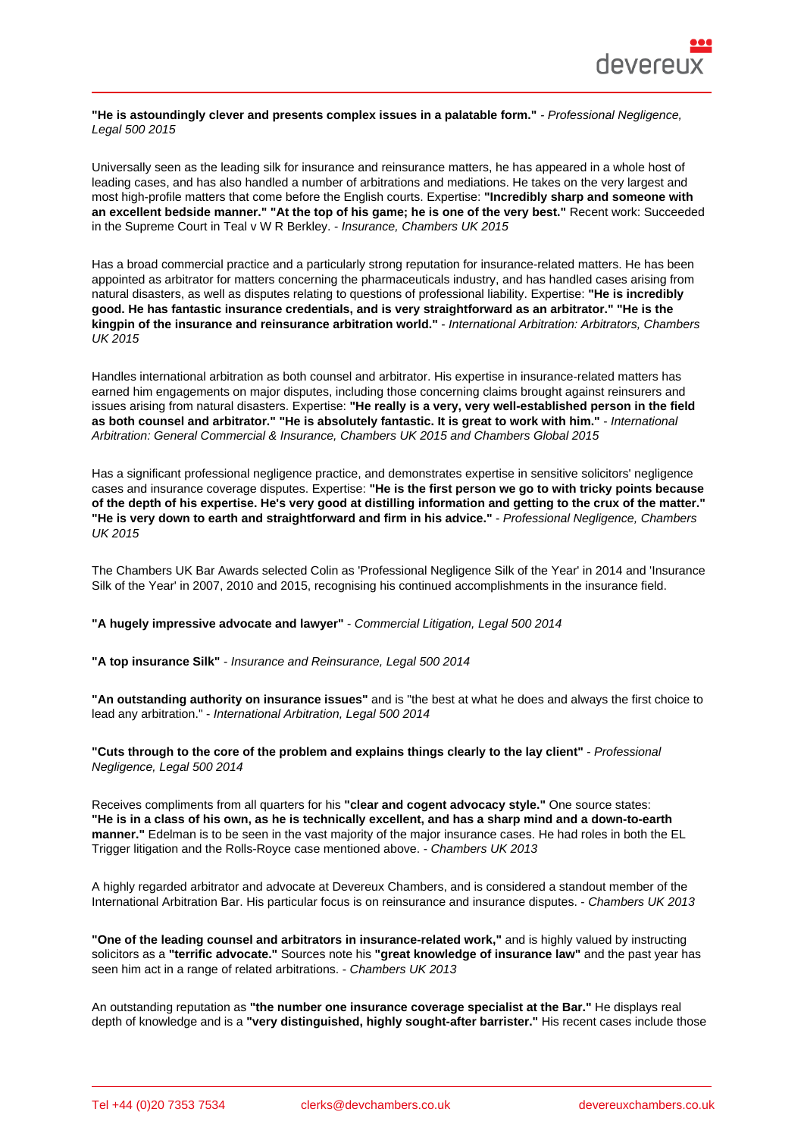"He is astoundingly clever and presents complex issues in a palatable form." - Professional Negligence, Legal 500 2015

Universally seen as the leading silk for insurance and reinsurance matters, he has appeared in a whole host of leading cases, and has also handled a number of arbitrations and mediations. He takes on the very largest and most high-profile matters that come before the English courts. Expertise: "Incredibly sharp and someone with an excellent bedside manner." "At the top of his game; he is one of the very best." Recent work: Succeeded in the Supreme Court in Teal v W R Berkley. - Insurance, Chambers UK 2015

Has a broad commercial practice and a particularly strong reputation for insurance-related matters. He has been appointed as arbitrator for matters concerning the pharmaceuticals industry, and has handled cases arising from natural disasters, as well as disputes relating to questions of professional liability. Expertise: "He is incredibly good. He has fantastic insurance credentials, and is very straightforward as an arbitrator." "He is the kingpin of the insurance and reinsurance arbitration world." - International Arbitration: Arbitrators, Chambers UK 2015

Handles international arbitration as both counsel and arbitrator. His expertise in insurance-related matters has earned him engagements on major disputes, including those concerning claims brought against reinsurers and issues arising from natural disasters. Expertise: "He really is a very, very well-established person in the field as both counsel and arbitrator." "He is absolutely fantastic. It is great to work with him." - International Arbitration: General Commercial & Insurance, Chambers UK 2015 and Chambers Global 2015

Has a significant professional negligence practice, and demonstrates expertise in sensitive solicitors' negligence cases and insurance coverage disputes. Expertise: "He is the first person we go to with tricky points because of the depth of his expertise. He's very good at distilling information and getting to the crux of the matter." "He is very down to earth and straightforward and firm in his advice." - Professional Negligence, Chambers UK 2015

The Chambers UK Bar Awards selected Colin as 'Professional Negligence Silk of the Year' in 2014 and 'Insurance Silk of the Year' in 2007, 2010 and 2015, recognising his continued accomplishments in the insurance field.

"A hugely impressive advocate and lawyer" - Commercial Litigation, Legal 500 2014

"A top insurance Silk" - Insurance and Reinsurance, Legal 500 2014

"An outstanding authority on insurance issues" and is "the best at what he does and always the first choice to lead any arbitration." - International Arbitration, Legal 500 2014

"Cuts through to the core of the problem and explains things clearly to the lay client" - Professional Negligence, Legal 500 2014

Receives compliments from all quarters for his "clear and cogent advocacy style." One source states: "He is in a class of his own, as he is technically excellent, and has a sharp mind and a down-to-earth manner." Edelman is to be seen in the vast majority of the major insurance cases. He had roles in both the EL Trigger litigation and the Rolls-Royce case mentioned above. - Chambers UK 2013

A highly regarded arbitrator and advocate at Devereux Chambers, and is considered a standout member of the International Arbitration Bar. His particular focus is on reinsurance and insurance disputes. - Chambers UK 2013

"One of the leading counsel and arbitrators in insurance-related work," and is highly valued by instructing solicitors as a "terrific advocate." Sources note his "great knowledge of insurance law" and the past year has seen him act in a range of related arbitrations. - Chambers UK 2013

An outstanding reputation as "the number one insurance coverage specialist at the Bar." He displays real depth of knowledge and is a "very distinguished, highly sought-after barrister." His recent cases include those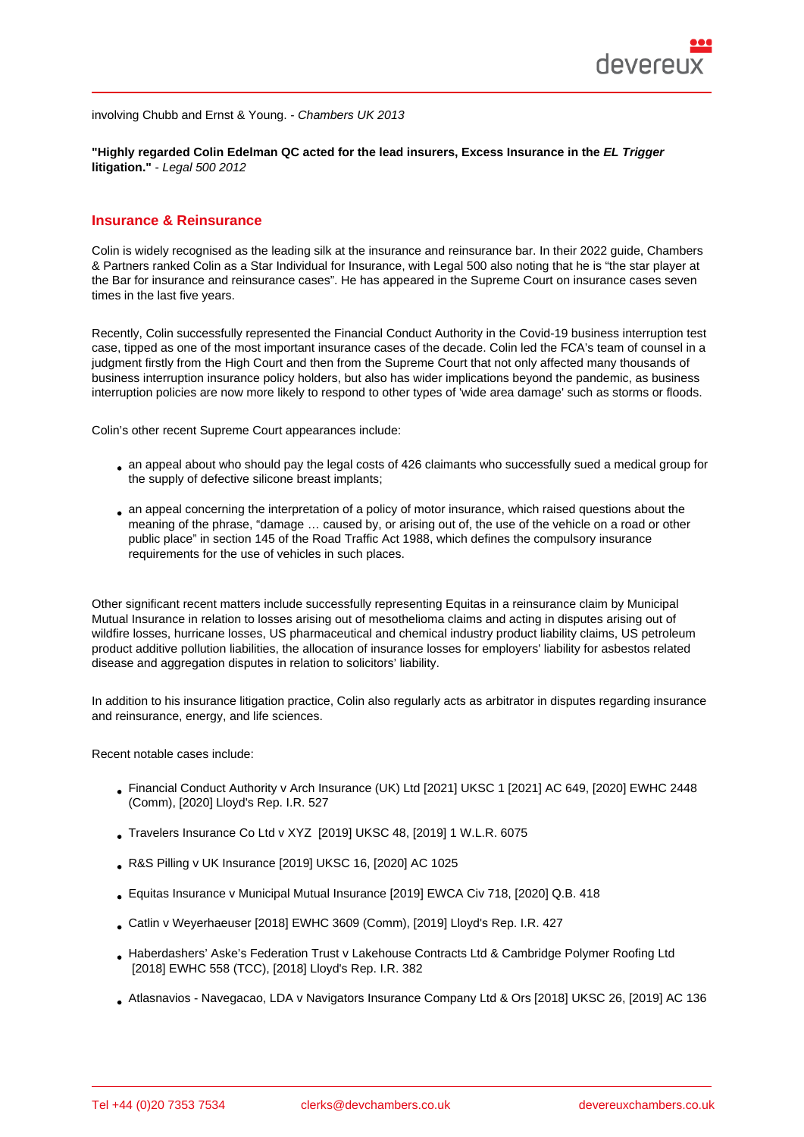"Highly regarded Colin Edelman QC acted for the lead insurers, Excess Insurance in the EL Trigger litigation." - Legal 500 2012

#### Insurance & Reinsurance

Colin is widely recognised as the leading silk at the insurance and reinsurance bar. In their 2022 guide, Chambers & Partners ranked Colin as a Star Individual for Insurance, with Legal 500 also noting that he is "the star player at the Bar for insurance and reinsurance cases". He has appeared in the Supreme Court on insurance cases seven times in the last five years.

Recently, Colin successfully represented the Financial Conduct Authority in the Covid-19 business interruption test case, tipped as one of the most important insurance cases of the decade. Colin led the FCA's team of counsel in a judgment firstly from the High Court and then from the Supreme Court that not only affected many thousands of business interruption insurance policy holders, but also has wider implications beyond the pandemic, as business interruption policies are now more likely to respond to other types of 'wide area damage' such as storms or floods.

Colin's other recent Supreme Court appearances include:

- an appeal about who should pay the legal costs of 426 claimants who successfully sued a medical group for the supply of defective silicone breast implants;
- an appeal concerning the interpretation of a policy of motor insurance, which raised questions about the meaning of the phrase, "damage … caused by, or arising out of, the use of the vehicle on a road or other public place" in section 145 of the Road Traffic Act 1988, which defines the compulsory insurance requirements for the use of vehicles in such places.

Other significant recent matters include successfully representing Equitas in a reinsurance claim by Municipal Mutual Insurance in relation to losses arising out of mesothelioma claims and acting in disputes arising out of wildfire losses, hurricane losses, US pharmaceutical and chemical industry product liability claims, US petroleum product additive pollution liabilities, the allocation of insurance losses for employers' liability for asbestos related disease and aggregation disputes in relation to solicitors' liability.

In addition to his insurance litigation practice, Colin also regularly acts as arbitrator in disputes regarding insurance and reinsurance, energy, and life sciences.

Recent notable cases include:

- Financial Conduct Authority v Arch Insurance (UK) Ltd [2021] UKSC 1 [2021] AC 649, [2020] EWHC 2448 (Comm), [2020] Lloyd's Rep. I.R. 527
- Travelers Insurance Co Ltd v XYZ [2019] UKSC 48, [2019] 1 W.L.R. 6075
- [R&S Pilling v UK Insurance](https://www.devereuxchambers.co.uk/assets/docs/news/FCA_BI_Test_Case_Jdmt_UKSC.pdf) [2019] UKSC 16, [2020] AC 1025
- [Equitas Insurance v Municipal Mut](/images/uploads/members/Travelers_Insurance_Company_Ltd_v_XYZ.pdf)ual Insurance [2019] EWCA Civ 718, [2020] Q.B. 418
- [Catlin v Weyerhaeuser \[201](http://bit.ly/33cuKnx)8] EWHC 3609 (Comm), [2019] Lloyd's Rep. I.R. 427
- [Haberdashers' Aske's Federation Trust v Lakeho](https://www.bailii.org/ew/cases/EWCA/Civ/2019/718.html)use Contracts Ltd & Cambridge Polymer Roofing Ltd [2018] EWHC 558 (TCC), [2018] Lloyd's Rep. I.R. 382
- [Atlasnavios Navegaca](https://www.bailii.org/ew/cases/EWHC/Comm/2018/3609.html)o, LDA v Navigators Insurance Company Ltd & Ors [2018] UKSC 26, [2019] AC 136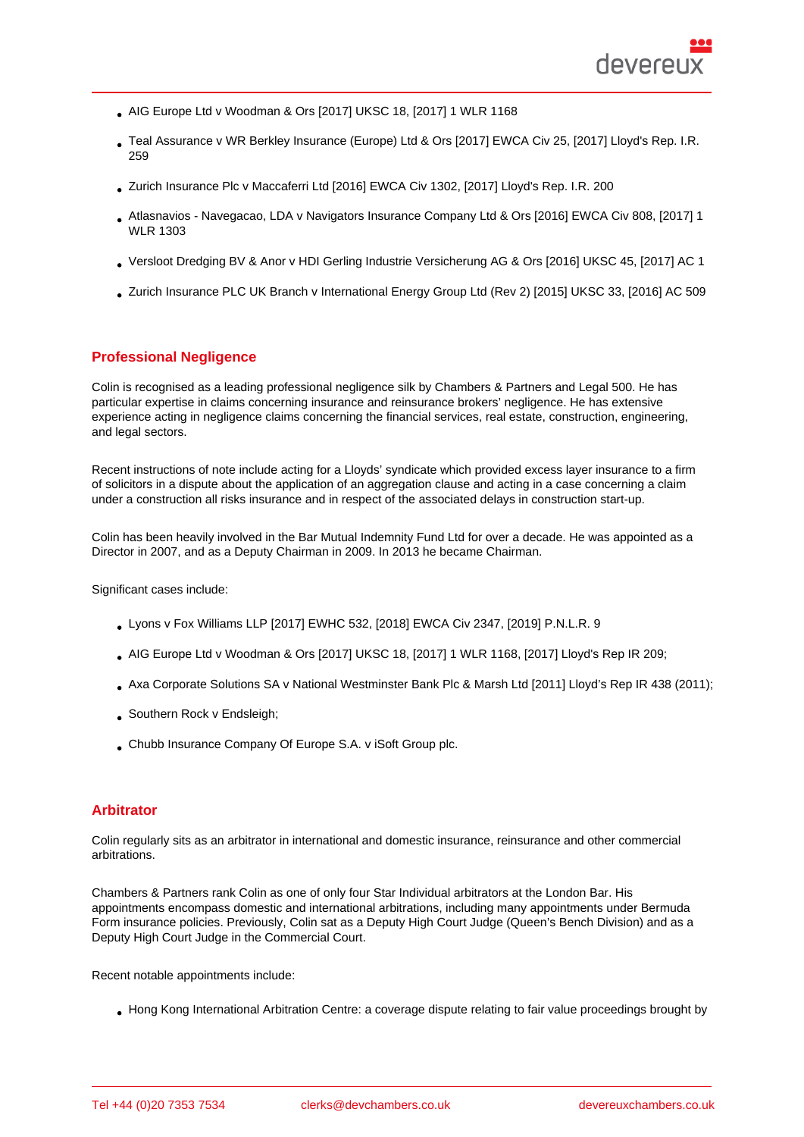- AIG Europe Ltd v Woodman & Ors [2017] UKSC 18, [2017] 1 WLR 1168
- Teal Assurance v WR Berkley Insurance (Europe) Ltd & Ors [2017] EWCA Civ 25, [2017] Lloyd's Rep. I.R. 259
- [Zurich Insurance Plc v Maccaferri L](http://bit.ly/3aPSiRO)td [2016] EWCA Civ 1302, [2017] Lloyd's Rep. I.R. 200
- [Atlasnavios Navegacao, LDA v Navigators Insurance Comp](https://www.bailii.org/ew/cases/EWCA/Civ/2017/25.html)any Ltd & Ors [2016] EWCA Civ 808, [2017] 1 WLR 1303
- [Versloot Dredging BV & Anor v HDI G](http://bit.ly/39GOVMW)erling Industrie Versicherung AG & Ors [2016] UKSC 45, [2017] AC 1
- [Zurich Insurance PLC UK Branch v International Energy Group Ltd \(Rev 2\)](http://bit.ly/3cUMOr1) [2015] UKSC 33, [2016] AC 509

# Profe[ssional Negligence](http://bit.ly/39N3kHk)

Colin is recognised as a leading professional negligence silk by Chambers & Partners and Legal 500. He has particular expertise in claims concerning insurance and reinsurance brokers' negligence. He has extensive experience acting in negligence claims concerning the financial services, real estate, construction, engineering, and legal sectors.

Recent instructions of note include acting for a Lloyds' syndicate which provided excess layer insurance to a firm of solicitors in a dispute about the application of an aggregation clause and acting in a case concerning a claim under a construction all risks insurance and in respect of the associated delays in construction start-up.

Colin has been heavily involved in the Bar Mutual Indemnity Fund Ltd for over a decade. He was appointed as a Director in 2007, and as a Deputy Chairman in 2009. In 2013 he became Chairman.

Significant cases include:

- Lyons v Fox Williams LLP [2017] EWHC 532, [2018] EWCA Civ 2347, [2019] P.N.L.R. 9
- AIG Europe Ltd v Woodman & Ors [2017] UKSC 18, [2017] 1 WLR 1168, [2017] Lloyd's Rep IR 209;
- [Axa Corporate Solutions S](http://bit.ly/33cKl6E)A v National Westminster Bank Plc & Marsh Ltd [2011] Lloyd's Rep IR 438 (2011);
- [Southern Rock v Endsleigh;](http://bit.ly/3aPSiRO)
- Chubb Insurance Company Of Europe S.A. v iSoft Group plc.

## **Arbitrator**

Colin regularly sits as an arbitrator in international and domestic insurance, reinsurance and other commercial arbitrations.

Chambers & Partners rank Colin as one of only four Star Individual arbitrators at the London Bar. His appointments encompass domestic and international arbitrations, including many appointments under Bermuda Form insurance policies. Previously, Colin sat as a Deputy High Court Judge (Queen's Bench Division) and as a Deputy High Court Judge in the Commercial Court.

Recent notable appointments include:

Hong Kong International Arbitration Centre: a coverage dispute relating to fair value proceedings brought by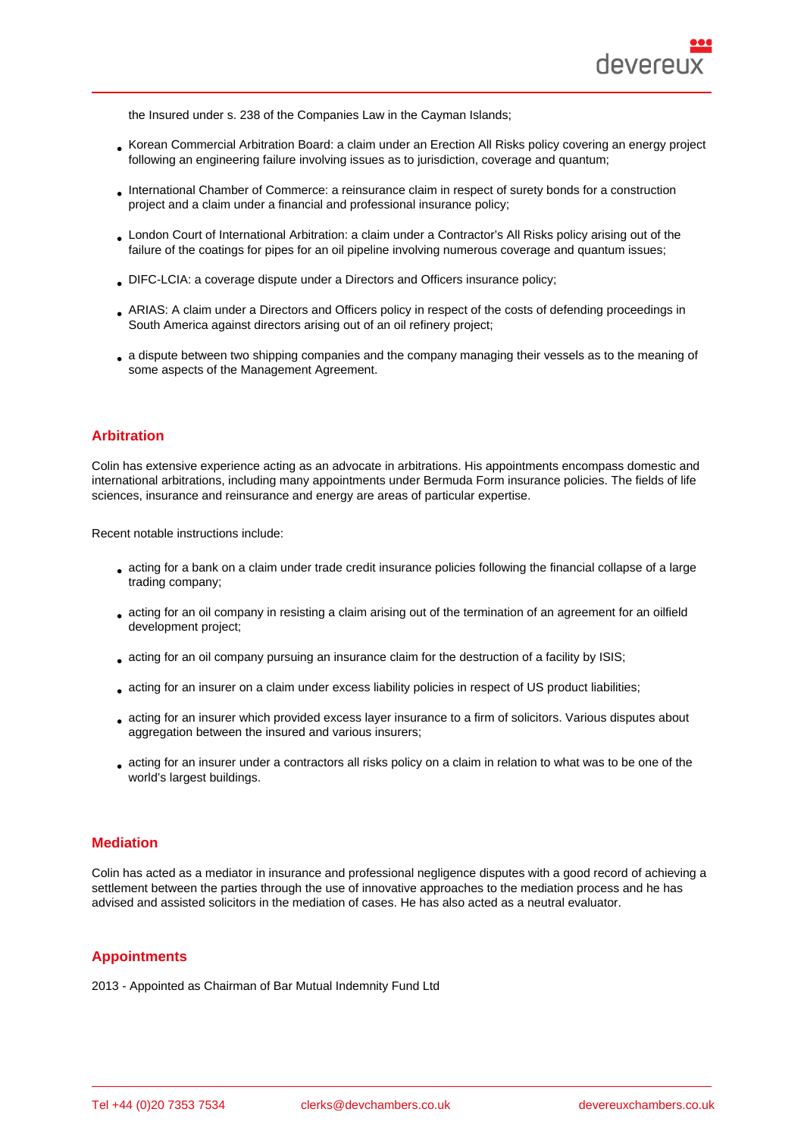the Insured under s. 238 of the Companies Law in the Cayman Islands;

- Korean Commercial Arbitration Board: a claim under an Erection All Risks policy covering an energy project following an engineering failure involving issues as to jurisdiction, coverage and quantum;
- International Chamber of Commerce: a reinsurance claim in respect of surety bonds for a construction project and a claim under a financial and professional insurance policy;
- London Court of International Arbitration: a claim under a Contractor's All Risks policy arising out of the failure of the coatings for pipes for an oil pipeline involving numerous coverage and quantum issues;
- DIFC-LCIA: a coverage dispute under a Directors and Officers insurance policy;
- ARIAS: A claim under a Directors and Officers policy in respect of the costs of defending proceedings in South America against directors arising out of an oil refinery project;
- a dispute between two shipping companies and the company managing their vessels as to the meaning of some aspects of the Management Agreement.

# Arbitration

Colin has extensive experience acting as an advocate in arbitrations. His appointments encompass domestic and international arbitrations, including many appointments under Bermuda Form insurance policies. The fields of life sciences, insurance and reinsurance and energy are areas of particular expertise.

Recent notable instructions include:

- acting for a bank on a claim under trade credit insurance policies following the financial collapse of a large trading company;
- acting for an oil company in resisting a claim arising out of the termination of an agreement for an oilfield development project;
- acting for an oil company pursuing an insurance claim for the destruction of a facility by ISIS;
- acting for an insurer on a claim under excess liability policies in respect of US product liabilities;
- acting for an insurer which provided excess layer insurance to a firm of solicitors. Various disputes about aggregation between the insured and various insurers;
- acting for an insurer under a contractors all risks policy on a claim in relation to what was to be one of the world's largest buildings.

## **Mediation**

Colin has acted as a mediator in insurance and professional negligence disputes with a good record of achieving a settlement between the parties through the use of innovative approaches to the mediation process and he has advised and assisted solicitors in the mediation of cases. He has also acted as a neutral evaluator.

## **Appointments**

2013 - Appointed as Chairman of Bar Mutual Indemnity Fund Ltd